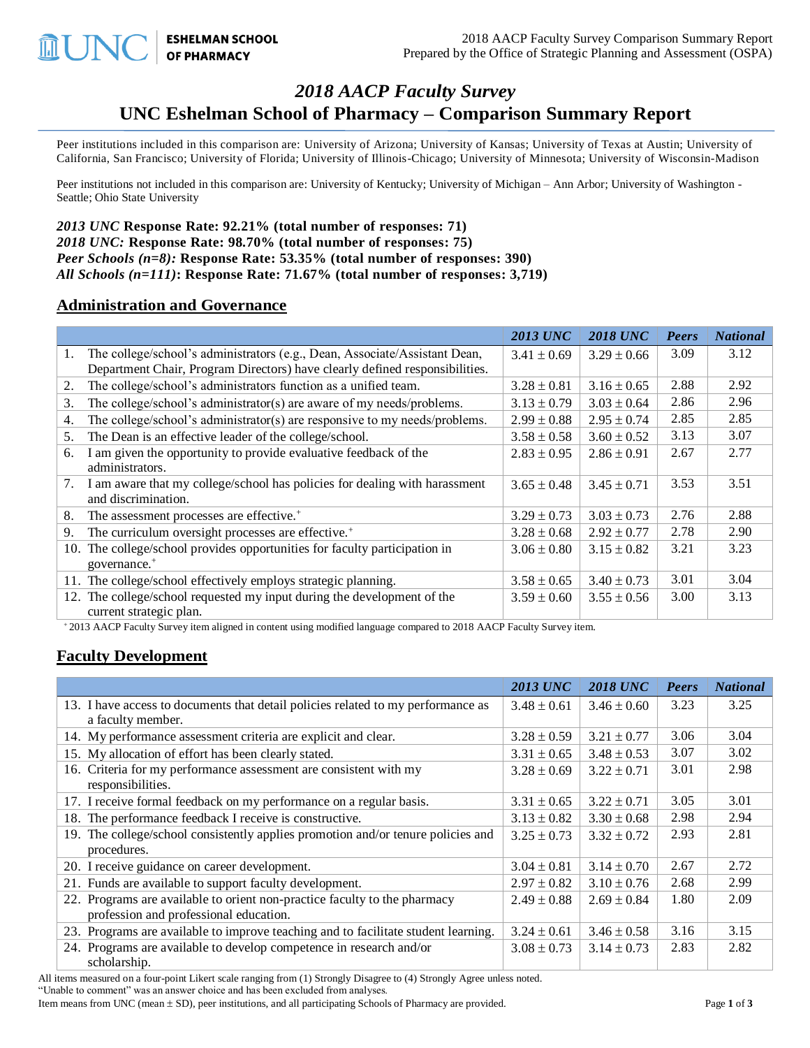# *2018 AACP Faculty Survey* **UNC Eshelman School of Pharmacy – Comparison Summary Report**

Peer institutions included in this comparison are: University of Arizona; University of Kansas; University of Texas at Austin; University of California, San Francisco; University of Florida; University of Illinois-Chicago; University of Minnesota; University of Wisconsin-Madison

Peer institutions not included in this comparison are: University of Kentucky; University of Michigan – Ann Arbor; University of Washington - Seattle; Ohio State University

*2013 UNC* **Response Rate: 92.21% (total number of responses: 71)** *2018 UNC:* **Response Rate: 98.70% (total number of responses: 75)** *Peer Schools (n=8):* **Response Rate: 53.35% (total number of responses: 390)** *All Schools (n=111)***: Response Rate: 71.67% (total number of responses: 3,719)**

#### **Administration and Governance**

**ESHELMAN SCHOOL**<br>OF PHARMACY

**LUNC** 

|    |                                                                             | <b>2013 UNC</b> | <b>2018 UNC</b> | <b>Peers</b> | <b>National</b> |
|----|-----------------------------------------------------------------------------|-----------------|-----------------|--------------|-----------------|
| 1. | The college/school's administrators (e.g., Dean, Associate/Assistant Dean,  | $3.41 \pm 0.69$ | $3.29 \pm 0.66$ | 3.09         | 3.12            |
|    | Department Chair, Program Directors) have clearly defined responsibilities. |                 |                 |              |                 |
| 2. | The college/school's administrators function as a unified team.             | $3.28 \pm 0.81$ | $3.16 \pm 0.65$ | 2.88         | 2.92            |
| 3. | The college/school's administrator(s) are aware of my needs/problems.       | $3.13 \pm 0.79$ | $3.03 \pm 0.64$ | 2.86         | 2.96            |
| 4. | The college/school's administrator(s) are responsive to my needs/problems.  | $2.99 \pm 0.88$ | $2.95 \pm 0.74$ | 2.85         | 2.85            |
| 5. | The Dean is an effective leader of the college/school.                      | $3.58 \pm 0.58$ | $3.60 \pm 0.52$ | 3.13         | 3.07            |
| 6. | I am given the opportunity to provide evaluative feedback of the            | $2.83 \pm 0.95$ | $2.86 \pm 0.91$ | 2.67         | 2.77            |
|    | administrators.                                                             |                 |                 |              |                 |
| 7. | I am aware that my college/school has policies for dealing with harassment  | $3.65 \pm 0.48$ | $3.45 \pm 0.71$ | 3.53         | 3.51            |
|    | and discrimination.                                                         |                 |                 |              |                 |
| 8. | The assessment processes are effective. <sup>+</sup>                        | $3.29 \pm 0.73$ | $3.03 \pm 0.73$ | 2.76         | 2.88            |
| 9. | The curriculum oversight processes are effective. <sup>+</sup>              | $3.28 \pm 0.68$ | $2.92 \pm 0.77$ | 2.78         | 2.90            |
|    | 10. The college/school provides opportunities for faculty participation in  | $3.06 \pm 0.80$ | $3.15 \pm 0.82$ | 3.21         | 3.23            |
|    | governance. <sup>+</sup>                                                    |                 |                 |              |                 |
|    | 11. The college/school effectively employs strategic planning.              | $3.58 \pm 0.65$ | $3.40 \pm 0.73$ | 3.01         | 3.04            |
|    | 12. The college/school requested my input during the development of the     | $3.59 \pm 0.60$ | $3.55 \pm 0.56$ | 3.00         | 3.13            |
|    | current strategic plan.                                                     |                 |                 |              |                 |

<sup>+</sup> 2013 AACP Faculty Survey item aligned in content using modified language compared to 2018 AACP Faculty Survey item.

#### **Faculty Development**

|                                                                                                                     | <b>2013 UNC</b> | <b>2018 UNC</b> | <b>Peers</b> | <b>National</b> |
|---------------------------------------------------------------------------------------------------------------------|-----------------|-----------------|--------------|-----------------|
| 13. I have access to documents that detail policies related to my performance as                                    | $3.48 \pm 0.61$ | $3.46 \pm 0.60$ | 3.23         | 3.25            |
| a faculty member.                                                                                                   |                 |                 |              |                 |
| 14. My performance assessment criteria are explicit and clear.                                                      | $3.28 \pm 0.59$ | $3.21 \pm 0.77$ | 3.06         | 3.04            |
| 15. My allocation of effort has been clearly stated.                                                                | $3.31 \pm 0.65$ | $3.48 \pm 0.53$ | 3.07         | 3.02            |
| 16. Criteria for my performance assessment are consistent with my<br>responsibilities.                              | $3.28 \pm 0.69$ | $3.22 \pm 0.71$ | 3.01         | 2.98            |
| 17. I receive formal feedback on my performance on a regular basis.                                                 | $3.31 \pm 0.65$ | $3.22 \pm 0.71$ | 3.05         | 3.01            |
| 18. The performance feedback I receive is constructive.                                                             | $3.13 \pm 0.82$ | $3.30 \pm 0.68$ | 2.98         | 2.94            |
| 19. The college/school consistently applies promotion and/or tenure policies and<br>procedures.                     | $3.25 \pm 0.73$ | $3.32 \pm 0.72$ | 2.93         | 2.81            |
| 20. I receive guidance on career development.                                                                       | $3.04 \pm 0.81$ | $3.14 \pm 0.70$ | 2.67         | 2.72            |
| 21. Funds are available to support faculty development.                                                             | $2.97 \pm 0.82$ | $3.10 \pm 0.76$ | 2.68         | 2.99            |
| 22. Programs are available to orient non-practice faculty to the pharmacy<br>profession and professional education. | $2.49 \pm 0.88$ | $2.69 \pm 0.84$ | 1.80         | 2.09            |
| 23. Programs are available to improve teaching and to facilitate student learning.                                  | $3.24 \pm 0.61$ | $3.46 \pm 0.58$ | 3.16         | 3.15            |
| 24. Programs are available to develop competence in research and/or<br>scholarship.                                 | $3.08 \pm 0.73$ | $3.14 \pm 0.73$ | 2.83         | 2.82            |

All items measured on a four-point Likert scale ranging from (1) Strongly Disagree to (4) Strongly Agree unless noted. "Unable to comment" was an answer choice and has been excluded from analyses.

Item means from UNC (mean  $\pm$  SD), peer institutions, and all participating Schools of Pharmacy are provided. Page 1 of 3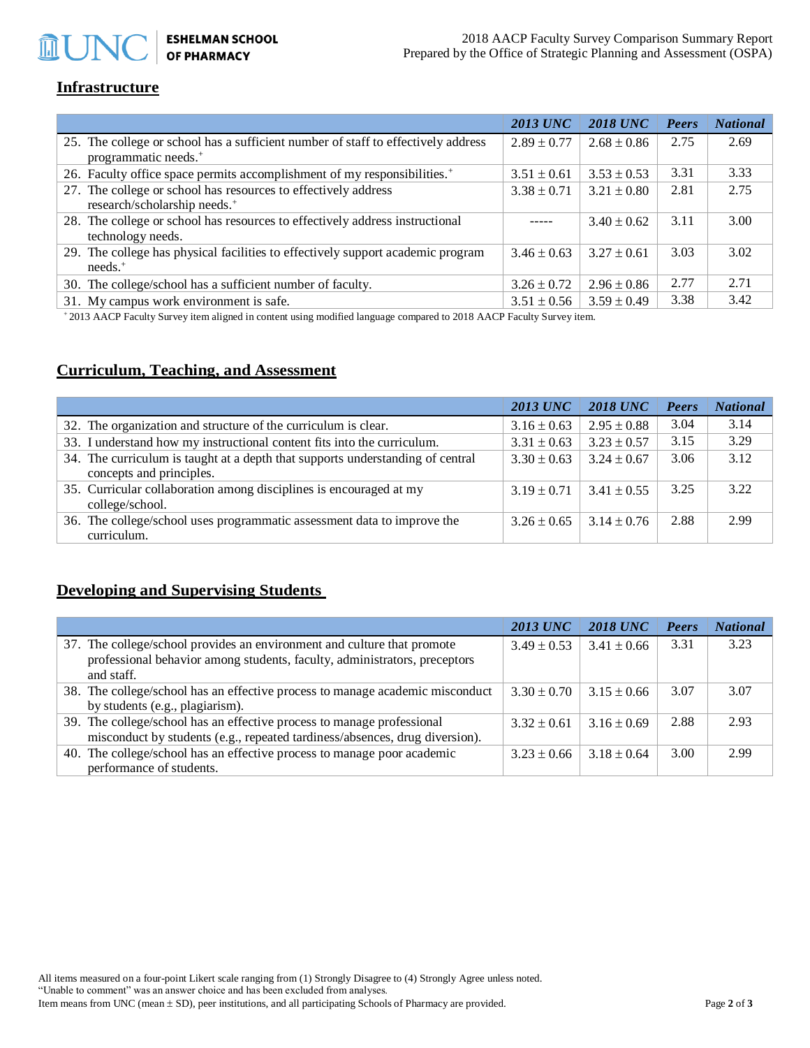# **ESHELMAN SCHOOL<br>OF PHARMACY**

## **Infrastructure**

**血UN** 

|                                                                                                                       | <b>2013 UNC</b> | <b>2018 UNC</b> | Peers | <b>National</b> |
|-----------------------------------------------------------------------------------------------------------------------|-----------------|-----------------|-------|-----------------|
| 25. The college or school has a sufficient number of staff to effectively address<br>programmatic needs. <sup>+</sup> | $2.89 \pm 0.77$ | $2.68 \pm 0.86$ | 2.75  | 2.69            |
| 26. Faculty office space permits accomplishment of my responsibilities. <sup>+</sup>                                  | $3.51 \pm 0.61$ | $3.53 \pm 0.53$ | 3.31  | 3.33            |
| 27. The college or school has resources to effectively address<br>research/scholarship needs. <sup>+</sup>            | $3.38 \pm 0.71$ | $3.21 \pm 0.80$ | 2.81  | 2.75            |
| 28. The college or school has resources to effectively address instructional<br>technology needs.                     |                 | $3.40 \pm 0.62$ | 3.11  | 3.00            |
| 29. The college has physical facilities to effectively support academic program<br>$needs.$ <sup>+</sup>              | $3.46 \pm 0.63$ | $3.27 \pm 0.61$ | 3.03  | 3.02            |
| 30. The college/school has a sufficient number of faculty.                                                            | $3.26 \pm 0.72$ | $2.96 \pm 0.86$ | 2.77  | 2.71            |
| 31. My campus work environment is safe.                                                                               | $3.51 \pm 0.56$ | $3.59 \pm 0.49$ | 3.38  | 3.42            |

<sup>+</sup> 2013 AACP Faculty Survey item aligned in content using modified language compared to 2018 AACP Faculty Survey item.

# **Curriculum, Teaching, and Assessment**

|                                                                                                            | <b>2013 UNC</b> | <b>2018 UNC</b> | Peers | <b>National</b> |
|------------------------------------------------------------------------------------------------------------|-----------------|-----------------|-------|-----------------|
| 32. The organization and structure of the curriculum is clear.                                             | $3.16 \pm 0.63$ | $2.95 \pm 0.88$ | 3.04  | 3.14            |
| 33. I understand how my instructional content fits into the curriculum.                                    | $3.31 \pm 0.63$ | $3.23 \pm 0.57$ | 3.15  | 3.29            |
| 34. The curriculum is taught at a depth that supports understanding of central<br>concepts and principles. | $3.30 \pm 0.63$ | $3.24 \pm 0.67$ | 3.06  | 3.12            |
| 35. Curricular collaboration among disciplines is encouraged at my<br>college/school.                      | $3.19 \pm 0.71$ | $3.41 \pm 0.55$ | 3.25  | 3.22            |
| 36. The college/school uses programmatic assessment data to improve the<br>curriculum.                     | $3.26 \pm 0.65$ | $3.14 \pm 0.76$ | 2.88  | 2.99            |

### **Developing and Supervising Students**

|                                                                               | <b>2013 UNC</b> | <b>2018 UNC</b> | Peers | <b>National</b> |
|-------------------------------------------------------------------------------|-----------------|-----------------|-------|-----------------|
| 37. The college/school provides an environment and culture that promote       | $3.49 \pm 0.53$ | $3.41 \pm 0.66$ | 3.31  | 3.23            |
| professional behavior among students, faculty, administrators, preceptors     |                 |                 |       |                 |
| and staff.                                                                    |                 |                 |       |                 |
| 38. The college/school has an effective process to manage academic misconduct | $3.30 \pm 0.70$ | $3.15 \pm 0.66$ | 3.07  | 3.07            |
| by students (e.g., plagiarism).                                               |                 |                 |       |                 |
| 39. The college/school has an effective process to manage professional        | $3.32 \pm 0.61$ | $3.16 \pm 0.69$ | 2.88  | 2.93            |
| misconduct by students (e.g., repeated tardiness/absences, drug diversion).   |                 |                 |       |                 |
| 40. The college/school has an effective process to manage poor academic       | $3.23 \pm 0.66$ | $3.18 \pm 0.64$ | 3.00  | 2.99            |
| performance of students.                                                      |                 |                 |       |                 |